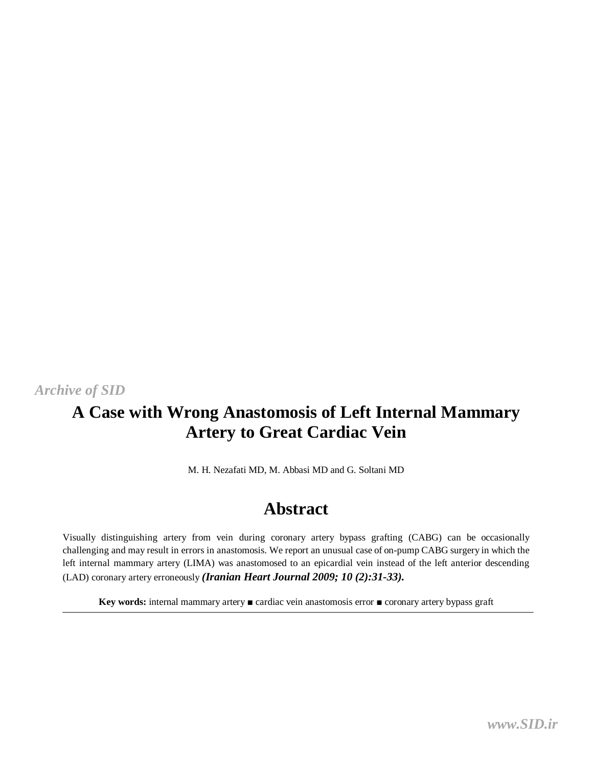### *[Archive of SID](www.sid.ir)*

# **A Case with Wrong Anastomosis of Left Internal Mammary Artery to Great Cardiac Vein**

M. H. Nezafati MD, M. Abbasi MD and G. Soltani MD

## **Abstract**

Visually distinguishing artery from vein during coronary artery bypass grafting (CABG) can be occasionally challenging and may result in errors in anastomosis. We report an unusual case of on-pump CABG surgery in which the left internal mammary artery (LIMA) was anastomosed to an epicardial vein instead of the left anterior descending (LAD) coronary artery erroneously *(Iranian Heart Journal 2009; 10 (2):31-33).*

**Key words:** internal mammary artery ■ cardiac vein anastomosis error ■ coronary artery bypass graft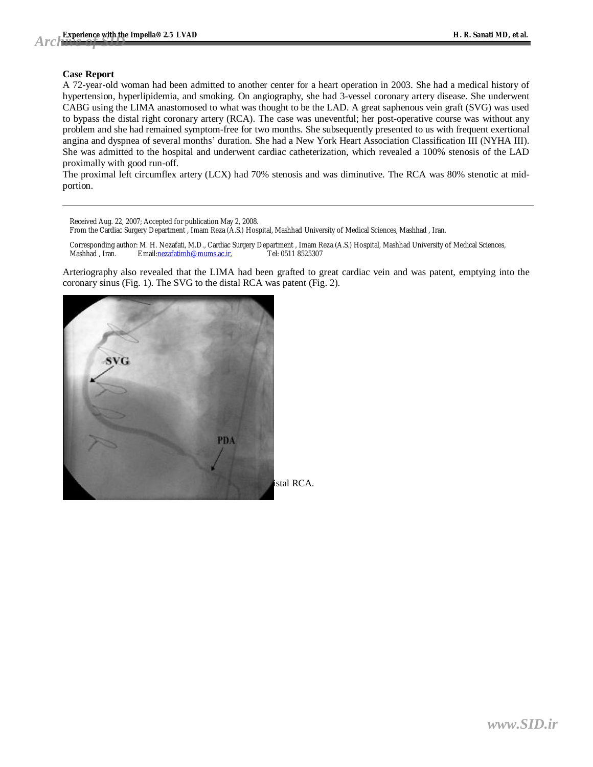#### **Case Report**

A 72-year-old woman had been admitted to another center for a heart operation in 2003. She had a medical history of hypertension, hyperlipidemia, and smoking. On angiography, she had 3-vessel coronary artery disease. She underwent CABG using the LIMA anastomosed to what was thought to be the LAD. A great saphenous vein graft (SVG) was used to bypass the distal right coronary artery (RCA). The case was uneventful; her post-operative course was without any problem and she had remained symptom-free for two months. She subsequently presented to us with frequent exertional angina and dyspnea of several months' duration. She had a New York Heart Association Classification III (NYHA III). She was admitted to the hospital and underwent cardiac catheterization, which revealed a 100% stenosis of the LAD proximally with good run-off.

The proximal left circumflex artery (LCX) had 70% stenosis and was diminutive. The RCA was 80% stenotic at midportion.

Received Aug. 22, 2007; Accepted for publication May 2, 2008.

From the Cardiac Surgery Department , Imam Reza (A.S.) Hospital, Mashhad University of Medical Sciences, Mashhad , Iran.

Corresponding author: M. H. Nezafati, M.D., Cardiac Surgery Department , Imam Reza (A.S.) Hospital, Mashhad University of Medical Sciences,<br>Mashhad , Iran. Email: nezafatimh@mums.ac.ir. [1] Tel: 0511 8525307 Email:[nezafatimh@mums.ac.ir,](mailto:nezafatimh@mums.ac.ir)

Arteriography also revealed that the LIMA had been grafted to great cardiac vein and was patent, emptying into the coronary sinus (Fig. 1). The SVG to the distal RCA was patent (Fig. 2).

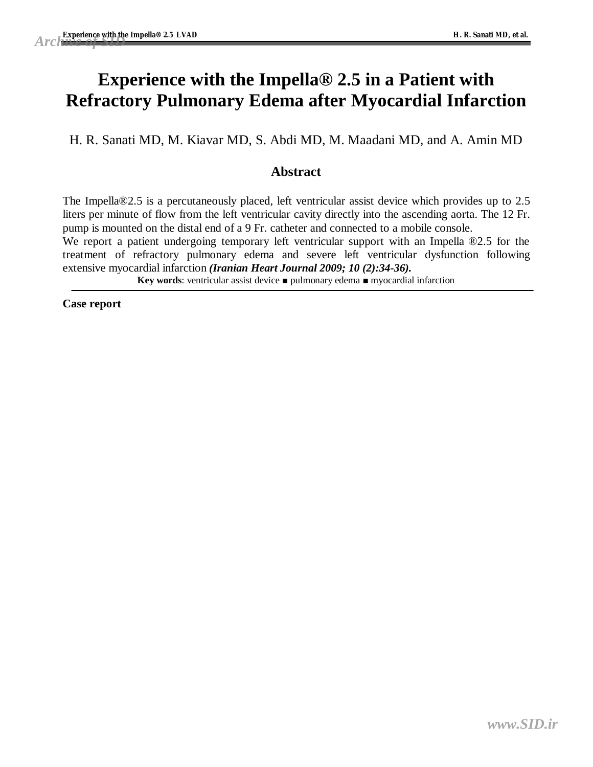# **Experience with the Impella® 2.5 in a Patient with Refractory Pulmonary Edema after Myocardial Infarction**

H. R. Sanati MD, M. Kiavar MD, S. Abdi MD, M. Maadani MD, and A. Amin MD

### **Abstract**

The Impella®2.5 is a percutaneously placed, left ventricular assist device which provides up to 2.5 liters per minute of flow from the left ventricular cavity directly into the ascending aorta. The 12 Fr. pump is mounted on the distal end of a 9 Fr. catheter and connected to a mobile console.

We report a patient undergoing temporary left ventricular support with an Impella  $\mathbb{R}^2$ .5 for the treatment of refractory pulmonary edema and severe left ventricular dysfunction following extensive myocardial infarction *(Iranian Heart Journal 2009; 10 (2):34-36).*

**Key words**: ventricular assist device ■ pulmonary edema ■ myocardial infarction

**Case report**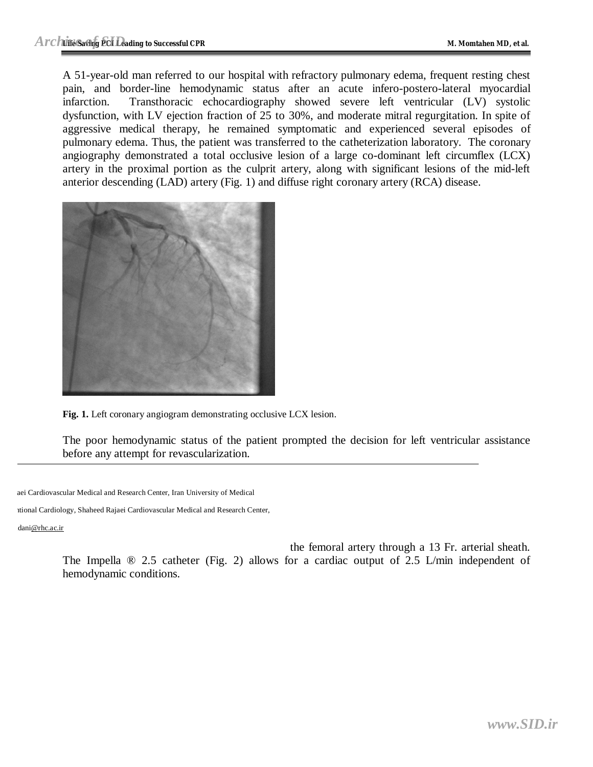A 51-year-old man referred to our hospital with refractory pulmonary edema, frequent resting chest pain, and border-line hemodynamic status after an acute infero-postero-lateral myocardial infarction. Transthoracic echocardiography showed severe left ventricular (LV) systolic dysfunction, with LV ejection fraction of 25 to 30%, and moderate mitral regurgitation. In spite of aggressive medical therapy, he remained symptomatic and experienced several episodes of pulmonary edema. Thus, the patient was transferred to the catheterization laboratory. The coronary angiography demonstrated a total occlusive lesion of a large co-dominant left circumflex (LCX) artery in the proximal portion as the culprit artery, along with significant lesions of the mid-left anterior descending (LAD) artery (Fig. 1) and diffuse right coronary artery (RCA) disease.



**Fig. 1.** Left coronary angiogram demonstrating occlusive LCX lesion.

The poor hemodynamic status of the patient prompted the decision for left ventricular assistance before any attempt for revascularization.

aei Cardiovascular Medical and Research Center, Iran University of Medical

ttional Cardiology, Shaheed Rajaei Cardiovascular Medical and Research Center,

dan[i@rhc.ac.ir](mailto:@rhc.ac.ir)

the femoral artery through a 13 Fr. arterial sheath. The Impella ® 2.5 catheter (Fig. 2) allows for a cardiac output of 2.5 L/min independent of hemodynamic conditions.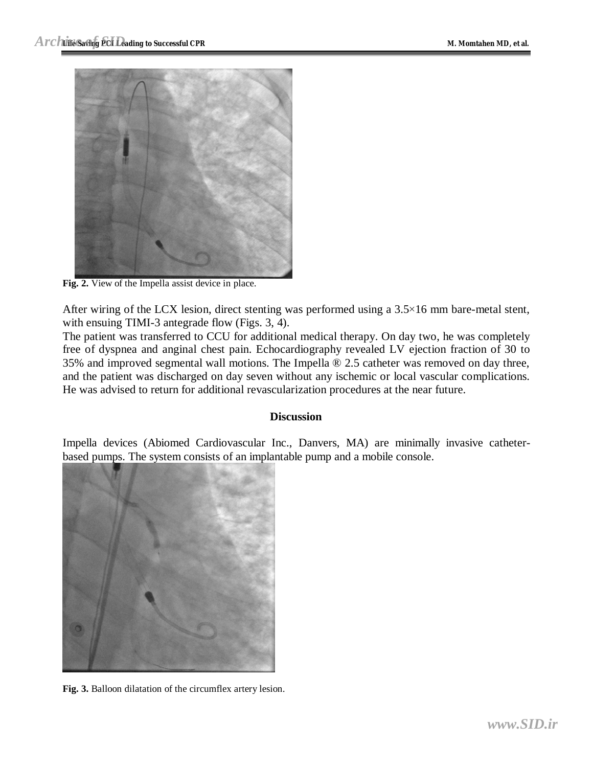

**Fig. 2.** View of the Impella assist device in place.

After wiring of the LCX lesion, direct stenting was performed using a 3.5×16 mm bare-metal stent, with ensuing TIMI-3 antegrade flow (Figs. 3, 4).

The patient was transferred to CCU for additional medical therapy. On day two, he was completely free of dyspnea and anginal chest pain. Echocardiography revealed LV ejection fraction of 30 to 35% and improved segmental wall motions. The Impella ® 2.5 catheter was removed on day three, and the patient was discharged on day seven without any ischemic or local vascular complications. He was advised to return for additional revascularization procedures at the near future.

### **Discussion**

Impella devices (Abiomed Cardiovascular Inc., Danvers, MA) are minimally invasive catheterbased pumps. The system consists of an implantable pump and a mobile console.



**Fig. 3.** Balloon dilatation of the circumflex artery lesion.